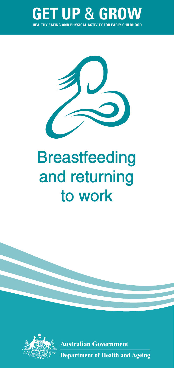



# **Breastfeeding and returning to work**



**Australian Government Department of Health and Ageing**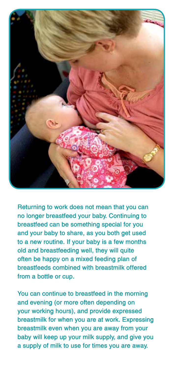

**Returning to work does not mean that you can no longer breastfeed your baby. Continuing to breastfeed can be something special for you and your baby to share, as you both get used to a new routine. If your baby is a few months old and breastfeeding well, they will quite often be happy on a mixed feeding plan of breastfeeds combined with breastmilk offered from a bottle or cup.** 

**You can continue to breastfeed in the morning and evening (or more often depending on your working hours), and provide expressed breastmilk for when you are at work. Expressing breastmilk even when you are away from your baby will keep up your milk supply, and give you a supply of milk to use for times you are away.**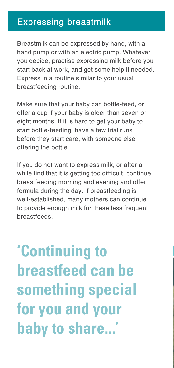# **Expressing breastmilk**

Breastmilk can be expressed by hand, with a hand pump or with an electric pump. Whatever you decide, practise expressing milk before you start back at work, and get some help if needed. Express in a routine similar to your usual breastfeeding routine.

Make sure that your baby can bottle-feed, or offer a cup if your baby is older than seven or eight months. If it is hard to get your baby to start bottle-feeding, have a few trial runs before they start care, with someone else offering the bottle.

If you do not want to express milk, or after a while find that it is getting too difficult, continue breastfeeding morning and evening and offer formula during the day. If breastfeeding is well-established, many mothers can continue to provide enough milk for these less frequent **breastfeeds** 

**'Continuing to breastfeed can be something special for you and your baby to share...'**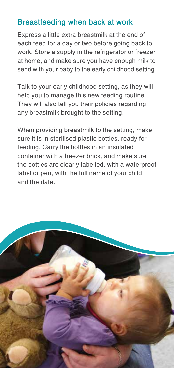## **Breastfeeding when back at work**

Express a little extra breastmilk at the end of each feed for a day or two before going back to work. Store a supply in the refrigerator or freezer at home, and make sure you have enough milk to send with your baby to the early childhood setting.

Talk to your early childhood setting, as they will help you to manage this new feeding routine. They will also tell you their policies regarding any breastmilk brought to the setting.

When providing breastmilk to the setting, make sure it is in sterilised plastic bottles, ready for feeding. Carry the bottles in an insulated container with a freezer brick, and make sure the bottles are clearly labelled, with a waterproof label or pen, with the full name of your child and the date.

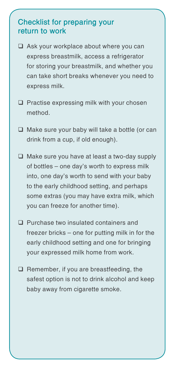### **Checklist for preparing your return to work**

- $\Box$  Ask your workplace about where you can express breastmilk, access a refrigerator for storing your breastmilk, and whether you can take short breaks whenever you need to express milk.
- $\Box$  Practise expressing milk with your chosen method.
- $\Box$  Make sure your baby will take a bottle (or can drink from a cup, if old enough).
- $\Box$  Make sure you have at least a two-day supply of bottles – one day's worth to express milk into, one day's worth to send with your baby to the early childhood setting, and perhaps some extras (you may have extra milk, which you can freeze for another time).
- □ Purchase two insulated containers and freezer bricks – one for putting milk in for the early childhood setting and one for bringing your expressed milk home from work.
- $\Box$  Remember, if you are breastfeeding, the safest option is not to drink alcohol and keep baby away from cigarette smoke.